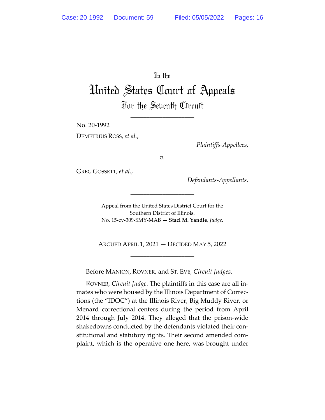In the

## United States Court of Appeals For the Seventh Circuit

\_\_\_\_\_\_\_\_\_\_\_\_\_\_\_\_\_\_\_\_

No. 20-1992

DEMETRIUS ROSS, *et al.*,

*Plaintiffs-Appellees*,

*v.*

GREG GOSSETT, *et al.*,

*Defendants-Appellants*.

Appeal from the United States District Court for the Southern District of Illinois. No. 15-cv-309-SMY-MAB — **Staci M. Yandle**, *Judge*.

\_\_\_\_\_\_\_\_\_\_\_\_\_\_\_\_\_\_\_\_

\_\_\_\_\_\_\_\_\_\_\_\_\_\_\_\_\_\_\_\_

ARGUED APRIL 1, 2021 — DECIDED MAY 5, 2022 \_\_\_\_\_\_\_\_\_\_\_\_\_\_\_\_\_\_\_\_

Before MANION, ROVNER, and ST. EVE, *Circuit Judges*.

ROVNER, *Circuit Judge*. The plaintiffs in this case are all inmates who were housed by the Illinois Department of Corrections (the "IDOC") at the Illinois River, Big Muddy River, or Menard correctional centers during the period from April 2014 through July 2014. They alleged that the prison-wide shakedowns conducted by the defendants violated their constitutional and statutory rights. Their second amended complaint, which is the operative one here, was brought under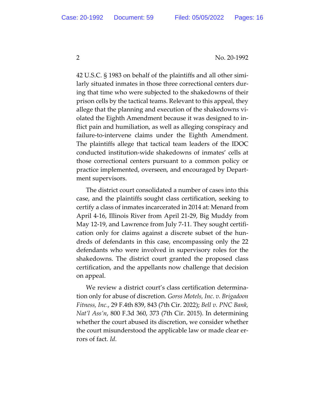42 U.S.C. § 1983 on behalf of the plaintiffs and all other similarly situated inmates in those three correctional centers during that time who were subjected to the shakedowns of their prison cells by the tactical teams. Relevant to this appeal, they allege that the planning and execution of the shakedowns violated the Eighth Amendment because it was designed to inflict pain and humiliation, as well as alleging conspiracy and failure-to-intervene claims under the Eighth Amendment. The plaintiffs allege that tactical team leaders of the IDOC conducted institution-wide shakedowns of inmates' cells at those correctional centers pursuant to a common policy or practice implemented, overseen, and encouraged by Department supervisors.

The district court consolidated a number of cases into this case, and the plaintiffs sought class certification, seeking to certify a class of inmates incarcerated in 2014 at: Menard from April 4-16, Illinois River from April 21-29, Big Muddy from May 12-19, and Lawrence from July 7-11. They sought certification only for claims against a discrete subset of the hundreds of defendants in this case, encompassing only the 22 defendants who were involved in supervisory roles for the shakedowns. The district court granted the proposed class certification, and the appellants now challenge that decision on appeal.

We review a district court's class certification determination only for abuse of discretion. *Gorss Motels, Inc. v. Brigadoon Fitness, Inc.*, 29 F.4th 839, 843 (7th Cir. 2022); *Bell v. PNC Bank, Nat'l Ass'n*, 800 F.3d 360, 373 (7th Cir. 2015). In determining whether the court abused its discretion, we consider whether the court misunderstood the applicable law or made clear errors of fact. *Id*.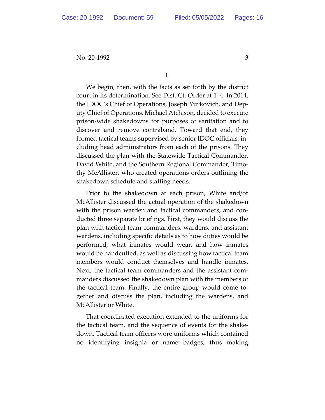We begin, then, with the facts as set forth by the district court in its determination. See Dist. Ct. Order at 1–4. In 2014, the IDOC's Chief of Operations, Joseph Yurkovich, and Deputy Chief of Operations, Michael Atchison, decided to execute prison-wide shakedowns for purposes of sanitation and to discover and remove contraband. Toward that end, they formed tactical teams supervised by senior IDOC officials, including head administrators from each of the prisons. They discussed the plan with the Statewide Tactical Commander, David White, and the Southern Regional Commander, Timothy McAllister, who created operations orders outlining the shakedown schedule and staffing needs.

Prior to the shakedown at each prison, White and/or McAllister discussed the actual operation of the shakedown with the prison warden and tactical commanders, and conducted three separate briefings. First, they would discuss the plan with tactical team commanders, wardens, and assistant wardens, including specific details as to how duties would be performed, what inmates would wear, and how inmates would be handcuffed, as well as discussing how tactical team members would conduct themselves and handle inmates. Next, the tactical team commanders and the assistant commanders discussed the shakedown plan with the members of the tactical team. Finally, the entire group would come together and discuss the plan, including the wardens, and McAllister or White.

That coordinated execution extended to the uniforms for the tactical team, and the sequence of events for the shakedown. Tactical team officers wore uniforms which contained no identifying insignia or name badges, thus making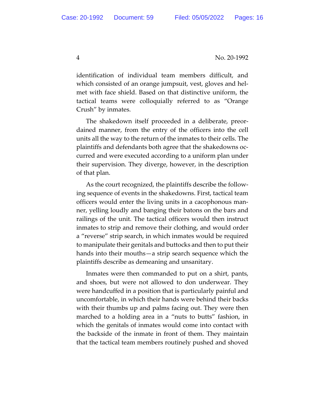identification of individual team members difficult, and which consisted of an orange jumpsuit, vest, gloves and helmet with face shield. Based on that distinctive uniform, the tactical teams were colloquially referred to as "Orange Crush" by inmates.

The shakedown itself proceeded in a deliberate, preordained manner, from the entry of the officers into the cell units all the way to the return of the inmates to their cells. The plaintiffs and defendants both agree that the shakedowns occurred and were executed according to a uniform plan under their supervision. They diverge, however, in the description of that plan.

As the court recognized, the plaintiffs describe the following sequence of events in the shakedowns. First, tactical team officers would enter the living units in a cacophonous manner, yelling loudly and banging their batons on the bars and railings of the unit. The tactical officers would then instruct inmates to strip and remove their clothing, and would order a "reverse" strip search, in which inmates would be required to manipulate their genitals and buttocks and then to put their hands into their mouths—a strip search sequence which the plaintiffs describe as demeaning and unsanitary.

Inmates were then commanded to put on a shirt, pants, and shoes, but were not allowed to don underwear. They were handcuffed in a position that is particularly painful and uncomfortable, in which their hands were behind their backs with their thumbs up and palms facing out. They were then marched to a holding area in a "nuts to butts" fashion, in which the genitals of inmates would come into contact with the backside of the inmate in front of them. They maintain that the tactical team members routinely pushed and shoved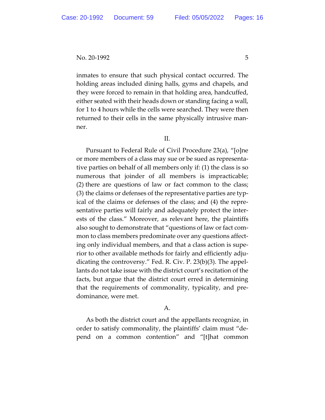inmates to ensure that such physical contact occurred. The holding areas included dining halls, gyms and chapels, and they were forced to remain in that holding area, handcuffed, either seated with their heads down or standing facing a wall, for 1 to 4 hours while the cells were searched. They were then returned to their cells in the same physically intrusive manner.

II.

Pursuant to Federal Rule of Civil Procedure 23(a), "[o]ne or more members of a class may sue or be sued as representative parties on behalf of all members only if: (1) the class is so numerous that joinder of all members is impracticable; (2) there are questions of law or fact common to the class; (3) the claims or defenses of the representative parties are typical of the claims or defenses of the class; and (4) the representative parties will fairly and adequately protect the interests of the class." Moreover, as relevant here, the plaintiffs also sought to demonstrate that "questions of law or fact common to class members predominate over any questions affecting only individual members, and that a class action is superior to other available methods for fairly and efficiently adjudicating the controversy." Fed. R. Civ. P. 23(b)(3). The appellants do not take issue with the district court's recitation of the facts, but argue that the district court erred in determining that the requirements of commonality, typicality, and predominance, were met.

## A.

As both the district court and the appellants recognize, in order to satisfy commonality, the plaintiffs' claim must "depend on a common contention" and "[t]hat common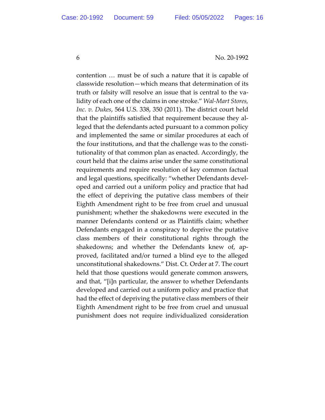contention … must be of such a nature that it is capable of classwide resolution—which means that determination of its truth or falsity will resolve an issue that is central to the validity of each one of the claims in one stroke." *Wal-Mart Stores, Inc. v. Dukes*, 564 U.S. 338, 350 (2011). The district court held that the plaintiffs satisfied that requirement because they alleged that the defendants acted pursuant to a common policy and implemented the same or similar procedures at each of the four institutions, and that the challenge was to the constitutionality of that common plan as enacted. Accordingly, the court held that the claims arise under the same constitutional requirements and require resolution of key common factual and legal questions, specifically: "whether Defendants developed and carried out a uniform policy and practice that had the effect of depriving the putative class members of their Eighth Amendment right to be free from cruel and unusual punishment; whether the shakedowns were executed in the manner Defendants contend or as Plaintiffs claim; whether Defendants engaged in a conspiracy to deprive the putative class members of their constitutional rights through the shakedowns; and whether the Defendants knew of, approved, facilitated and/or turned a blind eye to the alleged unconstitutional shakedowns." Dist. Ct. Order at 7. The court held that those questions would generate common answers, and that, "[i]n particular, the answer to whether Defendants developed and carried out a uniform policy and practice that had the effect of depriving the putative class members of their Eighth Amendment right to be free from cruel and unusual punishment does not require individualized consideration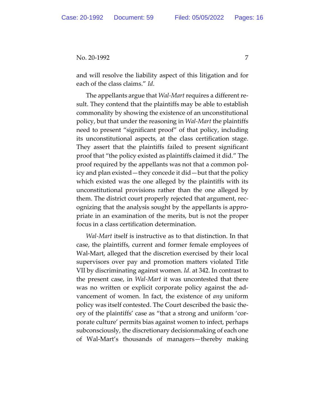and will resolve the liability aspect of this litigation and for each of the class claims." *Id*.

The appellants argue that *Wal-Mart* requires a different result. They contend that the plaintiffs may be able to establish commonality by showing the existence of an unconstitutional policy, but that under the reasoning in *Wal-Mart* the plaintiffs need to present "significant proof" of that policy, including its unconstitutional aspects, at the class certification stage. They assert that the plaintiffs failed to present significant proof that "the policy existed as plaintiffs claimed it did." The proof required by the appellants was not that a common policy and plan existed—they concede it did—but that the policy which existed was the one alleged by the plaintiffs with its unconstitutional provisions rather than the one alleged by them. The district court properly rejected that argument, recognizing that the analysis sought by the appellants is appropriate in an examination of the merits, but is not the proper focus in a class certification determination.

*Wal-Mart* itself is instructive as to that distinction. In that case, the plaintiffs, current and former female employees of Wal-Mart, alleged that the discretion exercised by their local supervisors over pay and promotion matters violated Title VII by discriminating against women. *Id*. at 342. In contrast to the present case, in *Wal-Mart* it was uncontested that there was no written or explicit corporate policy against the advancement of women. In fact, the existence of *any* uniform policy was itself contested. The Court described the basic theory of the plaintiffs' case as "that a strong and uniform 'corporate culture' permits bias against women to infect, perhaps subconsciously, the discretionary decisionmaking of each one of Wal-Mart's thousands of managers—thereby making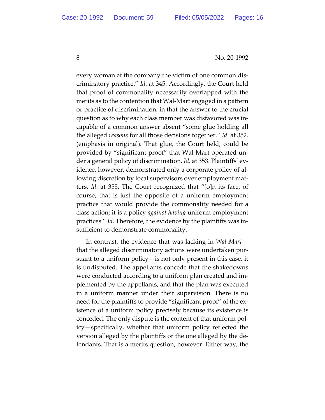every woman at the company the victim of one common discriminatory practice." *Id*. at 345. Accordingly, the Court held that proof of commonality necessarily overlapped with the merits as to the contention that Wal-Mart engaged in a pattern or practice of discrimination, in that the answer to the crucial question as to why each class member was disfavored was incapable of a common answer absent "some glue holding all the alleged *reasons* for all those decisions together." *Id*. at 352. (emphasis in original). That glue, the Court held, could be provided by "significant proof" that Wal-Mart operated under a general policy of discrimination. *Id*. at 353. Plaintiffs' evidence, however, demonstrated only a corporate policy of allowing discretion by local supervisors over employment matters. *Id*. at 355. The Court recognized that "[o]n its face, of course, that is just the opposite of a uniform employment practice that would provide the commonality needed for a class action; it is a policy *against having* uniform employment practices." *Id*. Therefore, the evidence by the plaintiffs was insufficient to demonstrate commonality.

In contrast, the evidence that was lacking in *Wal-Mart* that the alleged discriminatory actions were undertaken pursuant to a uniform policy—is not only present in this case, it is undisputed. The appellants concede that the shakedowns were conducted according to a uniform plan created and implemented by the appellants, and that the plan was executed in a uniform manner under their supervision. There is no need for the plaintiffs to provide "significant proof" of the existence of a uniform policy precisely because its existence is conceded. The only dispute is the content of that uniform policy—specifically, whether that uniform policy reflected the version alleged by the plaintiffs or the one alleged by the defendants. That is a merits question, however. Either way, the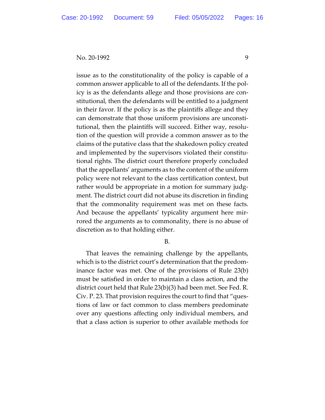issue as to the constitutionality of the policy is capable of a common answer applicable to all of the defendants. If the policy is as the defendants allege and those provisions are constitutional, then the defendants will be entitled to a judgment in their favor. If the policy is as the plaintiffs allege and they can demonstrate that those uniform provisions are unconstitutional, then the plaintiffs will succeed. Either way, resolution of the question will provide a common answer as to the claims of the putative class that the shakedown policy created and implemented by the supervisors violated their constitutional rights. The district court therefore properly concluded that the appellants' arguments as to the content of the uniform policy were not relevant to the class certification context, but rather would be appropriate in a motion for summary judgment. The district court did not abuse its discretion in finding that the commonality requirement was met on these facts. And because the appellants' typicality argument here mirrored the arguments as to commonality, there is no abuse of discretion as to that holding either.

## B.

That leaves the remaining challenge by the appellants, which is to the district court's determination that the predominance factor was met. One of the provisions of Rule 23(b) must be satisfied in order to maintain a class action, and the district court held that Rule 23(b)(3) had been met. See Fed. R. Civ. P. 23. That provision requires the court to find that "questions of law or fact common to class members predominate over any questions affecting only individual members, and that a class action is superior to other available methods for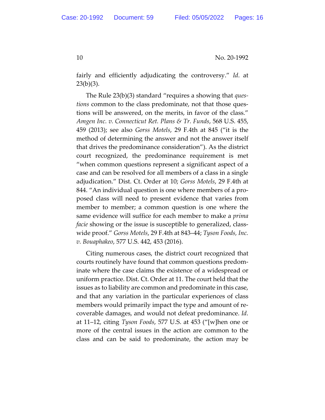fairly and efficiently adjudicating the controversy." *Id*. at  $23(b)(3)$ .

The Rule 23(b)(3) standard "requires a showing that *questions* common to the class predominate, not that those questions will be answered, on the merits, in favor of the class." *Amgen Inc. v. Connecticut Ret. Plans & Tr. Funds*, 568 U.S. 455, 459 (2013); see also *Gorss Motels*, 29 F.4th at 845 ("it is the method of determining the answer and not the answer itself that drives the predominance consideration"). As the district court recognized, the predominance requirement is met "when common questions represent a significant aspect of a case and can be resolved for all members of a class in a single adjudication." Dist. Ct. Order at 10; *Gorss Motels*, 29 F.4th at 844. "An individual question is one where members of a proposed class will need to present evidence that varies from member to member; a common question is one where the same evidence will suffice for each member to make a *prima facie* showing or the issue is susceptible to generalized, classwide proof." *Gorss Motels*, 29 F.4th at 843–44; *Tyson Foods, Inc. v. Bouaphakeo*, 577 U.S. 442, 453 (2016).

Citing numerous cases, the district court recognized that courts routinely have found that common questions predominate where the case claims the existence of a widespread or uniform practice. Dist. Ct. Order at 11. The court held that the issues as to liability are common and predominate in this case, and that any variation in the particular experiences of class members would primarily impact the type and amount of recoverable damages, and would not defeat predominance. *Id*. at 11–12, citing *Tyson Foods*, 577 U.S. at 453 ("[w]hen one or more of the central issues in the action are common to the class and can be said to predominate, the action may be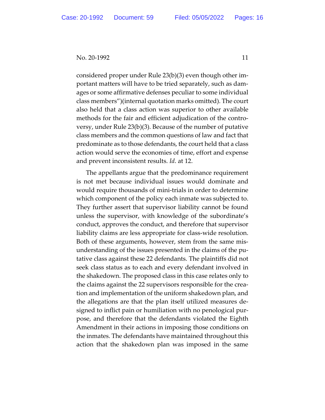considered proper under Rule 23(b)(3) even though other important matters will have to be tried separately, such as damages or some affirmative defenses peculiar to some individual class members")(internal quotation marks omitted). The court also held that a class action was superior to other available methods for the fair and efficient adjudication of the controversy, under Rule 23(b)(3). Because of the number of putative class members and the common questions of law and fact that predominate as to those defendants, the court held that a class action would serve the economies of time, effort and expense and prevent inconsistent results. *Id*. at 12.

The appellants argue that the predominance requirement is not met because individual issues would dominate and would require thousands of mini-trials in order to determine which component of the policy each inmate was subjected to. They further assert that supervisor liability cannot be found unless the supervisor, with knowledge of the subordinate's conduct, approves the conduct, and therefore that supervisor liability claims are less appropriate for class-wide resolution. Both of these arguments, however, stem from the same misunderstanding of the issues presented in the claims of the putative class against these 22 defendants. The plaintiffs did not seek class status as to each and every defendant involved in the shakedown. The proposed class in this case relates only to the claims against the 22 supervisors responsible for the creation and implementation of the uniform shakedown plan, and the allegations are that the plan itself utilized measures designed to inflict pain or humiliation with no penological purpose, and therefore that the defendants violated the Eighth Amendment in their actions in imposing those conditions on the inmates. The defendants have maintained throughout this action that the shakedown plan was imposed in the same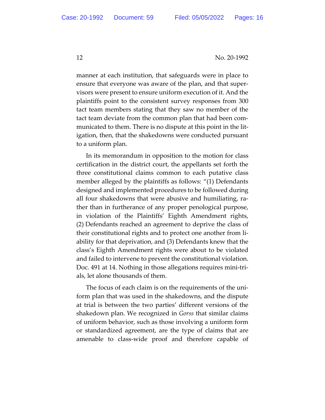manner at each institution, that safeguards were in place to ensure that everyone was aware of the plan, and that supervisors were present to ensure uniform execution of it. And the plaintiffs point to the consistent survey responses from 300 tact team members stating that they saw no member of the tact team deviate from the common plan that had been communicated to them. There is no dispute at this point in the litigation, then, that the shakedowns were conducted pursuant to a uniform plan.

In its memorandum in opposition to the motion for class certification in the district court, the appellants set forth the three constitutional claims common to each putative class member alleged by the plaintiffs as follows: "(1) Defendants designed and implemented procedures to be followed during all four shakedowns that were abusive and humiliating, rather than in furtherance of any proper penological purpose, in violation of the Plaintiffs' Eighth Amendment rights, (2) Defendants reached an agreement to deprive the class of their constitutional rights and to protect one another from liability for that deprivation, and (3) Defendants knew that the class's Eighth Amendment rights were about to be violated and failed to intervene to prevent the constitutional violation. Doc. 491 at 14. Nothing in those allegations requires mini-trials, let alone thousands of them.

The focus of each claim is on the requirements of the uniform plan that was used in the shakedowns, and the dispute at trial is between the two parties' different versions of the shakedown plan. We recognized in *Gorss* that similar claims of uniform behavior, such as those involving a uniform form or standardized agreement, are the type of claims that are amenable to class-wide proof and therefore capable of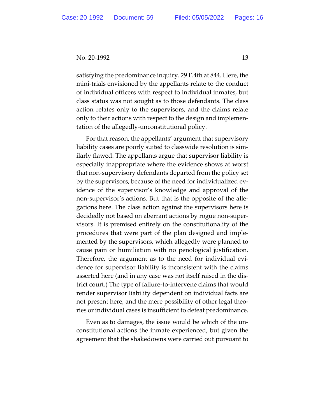satisfying the predominance inquiry. 29 F.4th at 844. Here, the mini-trials envisioned by the appellants relate to the conduct of individual officers with respect to individual inmates, but class status was not sought as to those defendants. The class action relates only to the supervisors, and the claims relate only to their actions with respect to the design and implementation of the allegedly-unconstitutional policy.

For that reason, the appellants' argument that supervisory liability cases are poorly suited to classwide resolution is similarly flawed. The appellants argue that supervisor liability is especially inappropriate where the evidence shows at worst that non-supervisory defendants departed from the policy set by the supervisors, because of the need for individualized evidence of the supervisor's knowledge and approval of the non-supervisor's actions. But that is the opposite of the allegations here. The class action against the supervisors here is decidedly not based on aberrant actions by rogue non-supervisors. It is premised entirely on the constitutionality of the procedures that were part of the plan designed and implemented by the supervisors, which allegedly were planned to cause pain or humiliation with no penological justification. Therefore, the argument as to the need for individual evidence for supervisor liability is inconsistent with the claims asserted here (and in any case was not itself raised in the district court.) The type of failure-to-intervene claims that would render supervisor liability dependent on individual facts are not present here, and the mere possibility of other legal theories or individual cases is insufficient to defeat predominance.

Even as to damages, the issue would be which of the unconstitutional actions the inmate experienced, but given the agreement that the shakedowns were carried out pursuant to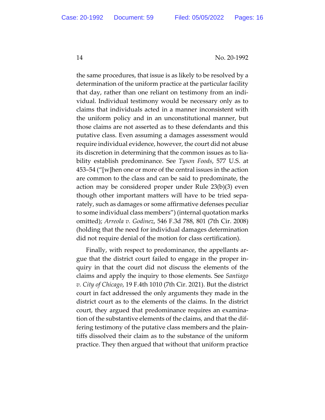the same procedures, that issue is as likely to be resolved by a determination of the uniform practice at the particular facility that day, rather than one reliant on testimony from an individual. Individual testimony would be necessary only as to claims that individuals acted in a manner inconsistent with the uniform policy and in an unconstitutional manner, but those claims are not asserted as to these defendants and this putative class. Even assuming a damages assessment would require individual evidence, however, the court did not abuse its discretion in determining that the common issues as to liability establish predominance. See *Tyson Foods*, 577 U.S. at 453–54 ("[w]hen one or more of the central issues in the action are common to the class and can be said to predominate, the action may be considered proper under Rule 23(b)(3) even though other important matters will have to be tried separately, such as damages or some affirmative defenses peculiar to some individual class members") (internal quotation marks omitted); *Arreola v. Godinez*, 546 F.3d 788, 801 (7th Cir. 2008) (holding that the need for individual damages determination did not require denial of the motion for class certification).

Finally, with respect to predominance, the appellants argue that the district court failed to engage in the proper inquiry in that the court did not discuss the elements of the claims and apply the inquiry to those elements. See *Santiago v. City of Chicago*, 19 F.4th 1010 (7th Cir. 2021). But the district court in fact addressed the only arguments they made in the district court as to the elements of the claims. In the district court, they argued that predominance requires an examination of the substantive elements of the claims, and that the differing testimony of the putative class members and the plaintiffs dissolved their claim as to the substance of the uniform practice. They then argued that without that uniform practice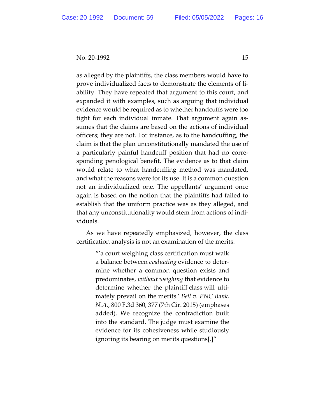as alleged by the plaintiffs, the class members would have to prove individualized facts to demonstrate the elements of liability. They have repeated that argument to this court, and expanded it with examples, such as arguing that individual evidence would be required as to whether handcuffs were too tight for each individual inmate. That argument again assumes that the claims are based on the actions of individual officers; they are not. For instance, as to the handcuffing, the claim is that the plan unconstitutionally mandated the use of a particularly painful handcuff position that had no corresponding penological benefit. The evidence as to that claim would relate to what handcuffing method was mandated, and what the reasons were for its use. It is a common question not an individualized one. The appellants' argument once again is based on the notion that the plaintiffs had failed to establish that the uniform practice was as they alleged, and that any unconstitutionality would stem from actions of individuals.

As we have repeatedly emphasized, however, the class certification analysis is not an examination of the merits:

> "'a court weighing class certification must walk a balance between *evaluating* evidence to determine whether a common question exists and predominates, *without weighing* that evidence to determine whether the plaintiff class will ultimately prevail on the merits.' *Bell v. PNC Bank, N.A.*, 800 F.3d 360, 377 (7th Cir. 2015) (emphases added). We recognize the contradiction built into the standard. The judge must examine the evidence for its cohesiveness while studiously ignoring its bearing on merits questions[.]"